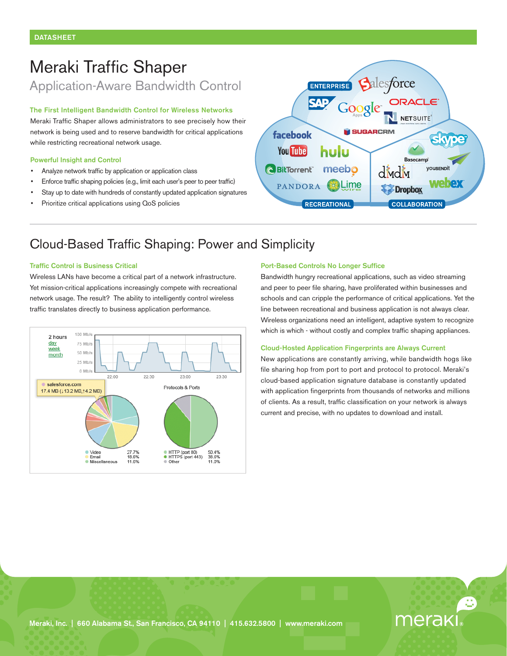# Meraki Traffic Shaper Application-Aware Bandwidth Control

### **The First Intelligent Bandwidth Control for Wireless Networks**

Meraki Traffic Shaper allows administrators to see precisely how their network is being used and to reserve bandwidth for critical applications while restricting recreational network usage.

### **Powerful Insight and Control**

- Analyze network traffic by application or application class
- Enforce traffic shaping policies (e.g., limit each user's peer to peer traffic)
- Stay up to date with hundreds of constantly updated application signatures
- Prioritize critical applications using QoS policies



# Cloud-Based Traffic Shaping: Power and Simplicity

### **Traffic Control is Business Critical**

Wireless LANs have become a critical part of a network infrastructure. Yet mission-critical applications increasingly compete with recreational network usage. The result? The ability to intelligently control wireless traffic translates directly to business application performance.



### **Port-Based Controls No Longer Suffice**

Bandwidth hungry recreational applications, such as video streaming and peer to peer file sharing, have proliferated within businesses and schools and can cripple the performance of critical applications. Yet the line between recreational and business application is not always clear. Wireless organizations need an intelligent, adaptive system to recognize which is which - without costly and complex traffic shaping appliances.

### **Cloud-Hosted Application Fingerprints are Always Current**

New applications are constantly arriving, while bandwidth hogs like file sharing hop from port to port and protocol to protocol. Meraki's cloud-based application signature database is constantly updated with application fingerprints from thousands of networks and millions of clients. As a result, traffic classification on your network is always current and precise, with no updates to download and install.

merak